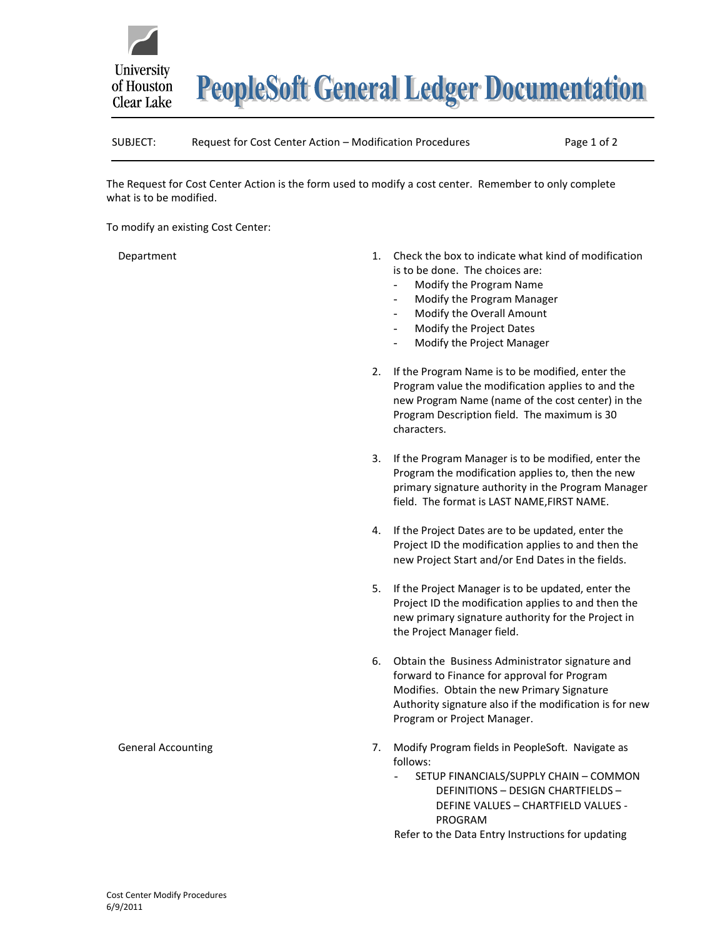

**PeopleSoft General Ledger Documentation** 

## SUBJECT: Request for Cost Center Action – Modification Procedures Page 1 of 2

The Request for Cost Center Action is the form used to modify a cost center. Remember to only complete what is to be modified.

To modify an existing Cost Center:

Department

- 1. Check the box to indicate what kind of modification is to be done. The choices are:
	- Modify the Program Name
	- Modify the Program Manager
	- Modify the Overall Amount
	- Modify the Project Dates
	- Modify the Project Manager
- 2. If the Program Name is to be modified, enter the Program value the modification applies to and the new Program Name (name of the cost center) in the Program Description field. The maximum is 30 characters.
- 3. If the Program Manager is to be modified, enter the Program the modification applies to, then the new primary signature authority in the Program Manager field. The format is LAST NAME,FIRST NAME.
- 4. If the Project Dates are to be updated, enter the Project ID the modification applies to and then the new Project Start and/or End Dates in the fields.
- 5. If the Project Manager is to be updated, enter the Project ID the modification applies to and then the new primary signature authority for the Project in the Project Manager field.
- 6. Obtain the Business Administrator signature and forward to Finance for approval for Program Modifies. Obtain the new Primary Signature Authority signature also if the modification is for new Program or Project Manager.
- 7. Modify Program fields in PeopleSoft. Navigate as follows:
	- SETUP FINANCIALS/SUPPLY CHAIN COMMON DEFINITIONS – DESIGN CHARTFIELDS – DEFINE VALUES – CHARTFIELD VALUES - PROGRAM

Refer to the Data Entry Instructions for updating

## General Accounting